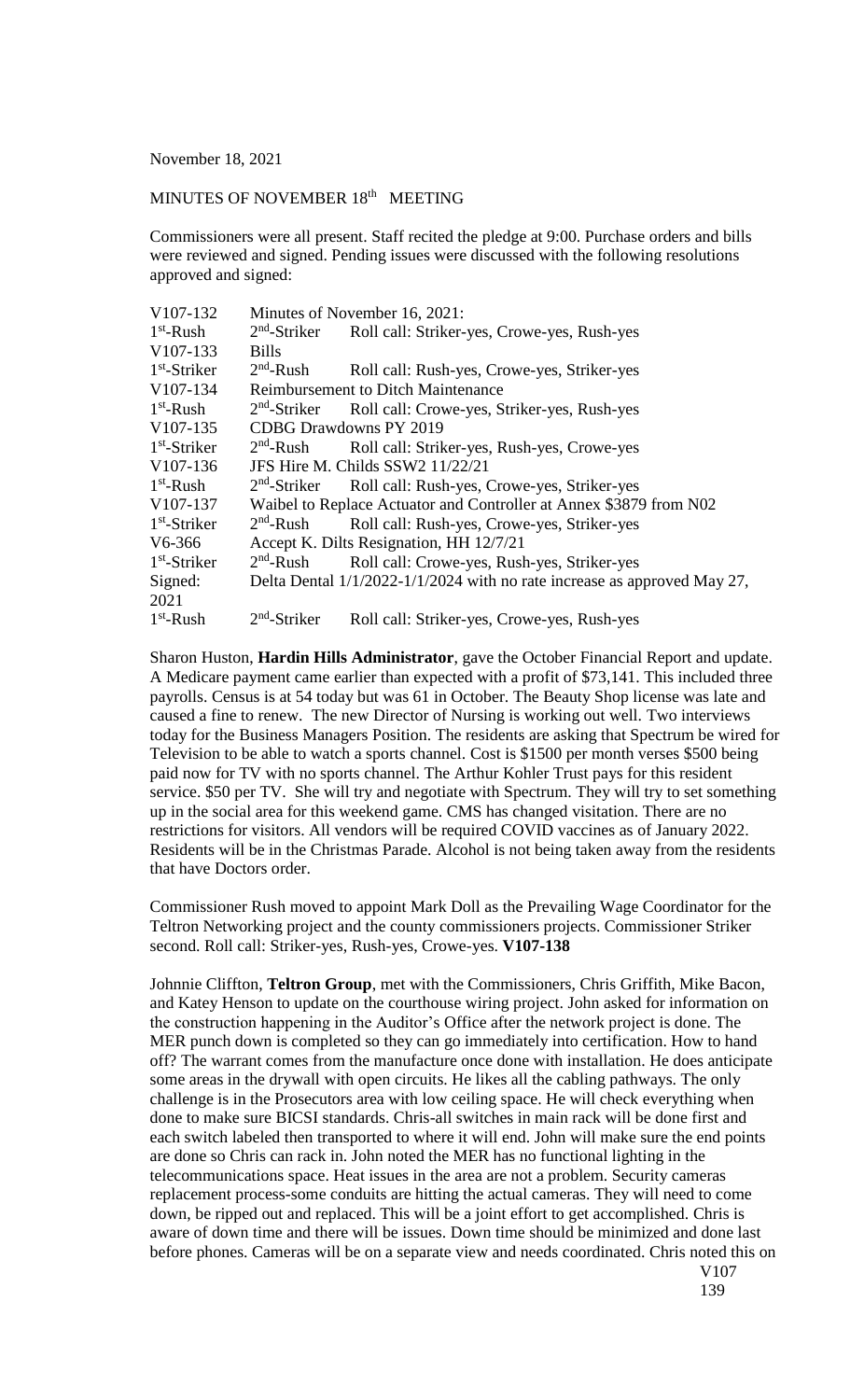## November 18, 2021

## MINUTES OF NOVEMBER 18<sup>th</sup> MEETING

Commissioners were all present. Staff recited the pledge at 9:00. Purchase orders and bills were reviewed and signed. Pending issues were discussed with the following resolutions approved and signed:

| V107-132              | Minutes of November 16, 2021:                                                |                                                                      |
|-----------------------|------------------------------------------------------------------------------|----------------------------------------------------------------------|
| $1st$ -Rush           | $2nd$ -Striker                                                               | Roll call: Striker-yes, Crowe-yes, Rush-yes                          |
| $V107-133$            | <b>Bills</b>                                                                 |                                                                      |
| $1st$ -Striker        | $2nd$ -Rush                                                                  | Roll call: Rush-yes, Crowe-yes, Striker-yes                          |
| V107-134              | <b>Reimbursement to Ditch Maintenance</b>                                    |                                                                      |
| $1st$ -Rush           | $2nd$ -Striker                                                               | Roll call: Crowe-yes, Striker-yes, Rush-yes                          |
| $V107-135$            | CDBG Drawdowns PY 2019                                                       |                                                                      |
| $1st$ -Striker        | $2nd$ -Rush                                                                  | Roll call: Striker-yes, Rush-yes, Crowe-yes                          |
| V <sub>107</sub> -136 | JFS Hire M. Childs SSW2 11/22/21                                             |                                                                      |
| $1st$ -Rush           |                                                                              | 2 <sup>nd</sup> -Striker Roll call: Rush-yes, Crowe-yes, Striker-yes |
| V <sub>107</sub> -137 | Waibel to Replace Actuator and Controller at Annex \$3879 from N02           |                                                                      |
| $1st$ -Striker        | $2nd$ -Rush                                                                  | Roll call: Rush-yes, Crowe-yes, Striker-yes                          |
| $V6-366$              | Accept K. Dilts Resignation, HH 12/7/21                                      |                                                                      |
| $1st$ -Striker        | $2nd$ -Rush                                                                  | Roll call: Crowe-yes, Rush-yes, Striker-yes                          |
| Signed:               | Delta Dental $1/1/2022 - 1/1/2024$ with no rate increase as approved May 27, |                                                                      |
| 2021                  |                                                                              |                                                                      |
| $1st$ -Rush           | $2nd$ -Striker                                                               | Roll call: Striker-yes, Crowe-yes, Rush-yes                          |

Sharon Huston, **Hardin Hills Administrator**, gave the October Financial Report and update. A Medicare payment came earlier than expected with a profit of \$73,141. This included three payrolls. Census is at 54 today but was 61 in October. The Beauty Shop license was late and caused a fine to renew. The new Director of Nursing is working out well. Two interviews today for the Business Managers Position. The residents are asking that Spectrum be wired for Television to be able to watch a sports channel. Cost is \$1500 per month verses \$500 being paid now for TV with no sports channel. The Arthur Kohler Trust pays for this resident service. \$50 per TV. She will try and negotiate with Spectrum. They will try to set something up in the social area for this weekend game. CMS has changed visitation. There are no restrictions for visitors. All vendors will be required COVID vaccines as of January 2022. Residents will be in the Christmas Parade. Alcohol is not being taken away from the residents that have Doctors order.

Commissioner Rush moved to appoint Mark Doll as the Prevailing Wage Coordinator for the Teltron Networking project and the county commissioners projects. Commissioner Striker second. Roll call: Striker-yes, Rush-yes, Crowe-yes. **V107-138**

Johnnie Cliffton, **Teltron Group**, met with the Commissioners, Chris Griffith, Mike Bacon, and Katey Henson to update on the courthouse wiring project. John asked for information on the construction happening in the Auditor's Office after the network project is done. The MER punch down is completed so they can go immediately into certification. How to hand off? The warrant comes from the manufacture once done with installation. He does anticipate some areas in the drywall with open circuits. He likes all the cabling pathways. The only challenge is in the Prosecutors area with low ceiling space. He will check everything when done to make sure BICSI standards. Chris-all switches in main rack will be done first and each switch labeled then transported to where it will end. John will make sure the end points are done so Chris can rack in. John noted the MER has no functional lighting in the telecommunications space. Heat issues in the area are not a problem. Security cameras replacement process-some conduits are hitting the actual cameras. They will need to come down, be ripped out and replaced. This will be a joint effort to get accomplished. Chris is aware of down time and there will be issues. Down time should be minimized and done last before phones. Cameras will be on a separate view and needs coordinated. Chris noted this on V107